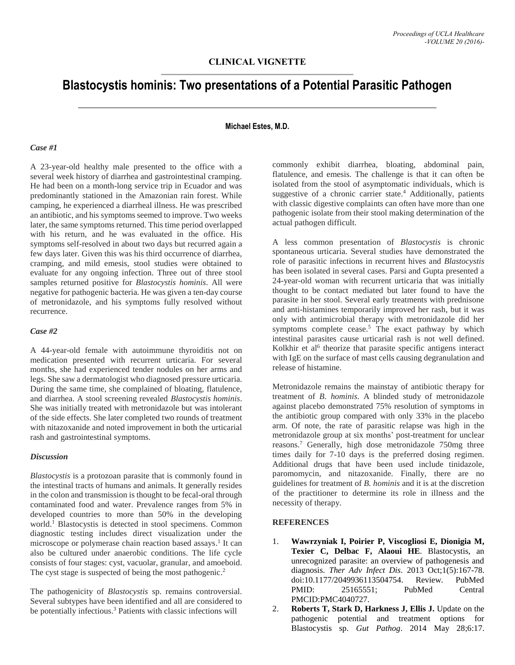# **Blastocystis hominis: Two presentations of a Potential Parasitic Pathogen**

#### **Michael Estes, M.D.**

## *Case #1*

A 23-year-old healthy male presented to the office with a several week history of diarrhea and gastrointestinal cramping. He had been on a month-long service trip in Ecuador and was predominantly stationed in the Amazonian rain forest. While camping, he experienced a diarrheal illness. He was prescribed an antibiotic, and his symptoms seemed to improve. Two weeks later, the same symptoms returned. This time period overlapped with his return, and he was evaluated in the office. His symptoms self-resolved in about two days but recurred again a few days later. Given this was his third occurrence of diarrhea, cramping, and mild emesis, stool studies were obtained to evaluate for any ongoing infection. Three out of three stool samples returned positive for *Blastocystis hominis*. All were negative for pathogenic bacteria. He was given a ten-day course of metronidazole, and his symptoms fully resolved without recurrence.

#### *Case #2*

A 44-year-old female with autoimmune thyroiditis not on medication presented with recurrent urticaria. For several months, she had experienced tender nodules on her arms and legs. She saw a dermatologist who diagnosed pressure urticaria. During the same time, she complained of bloating, flatulence, and diarrhea. A stool screening revealed *Blastocystis hominis*. She was initially treated with metronidazole but was intolerant of the side effects. She later completed two rounds of treatment with nitazoxanide and noted improvement in both the urticarial rash and gastrointestinal symptoms.

#### *Discussion*

*Blastocystis* is a protozoan parasite that is commonly found in the intestinal tracts of humans and animals. It generally resides in the colon and transmission is thought to be fecal-oral through contaminated food and water. Prevalence ranges from 5% in developed countries to more than 50% in the developing world. <sup>1</sup> Blastocystis is detected in stool specimens. Common diagnostic testing includes direct visualization under the microscope or polymerase chain reaction based assays. 1 It can also be cultured under anaerobic conditions. The life cycle consists of four stages: cyst, vacuolar, granular, and amoeboid. The cyst stage is suspected of being the most pathogenic.<sup>2</sup>

The pathogenicity of *Blastocystis* sp. remains controversial. Several subtypes have been identified and all are considered to be potentially infectious. <sup>3</sup> Patients with classic infections will

commonly exhibit diarrhea, bloating, abdominal pain, flatulence, and emesis. The challenge is that it can often be isolated from the stool of asymptomatic individuals, which is suggestive of a chronic carrier state. <sup>4</sup> Additionally, patients with classic digestive complaints can often have more than one pathogenic isolate from their stool making determination of the actual pathogen difficult.

A less common presentation of *Blastocystis* is chronic spontaneous urticaria. Several studies have demonstrated the role of parasitic infections in recurrent hives and *Blastocystis* has been isolated in several cases. Parsi and Gupta presented a 24-year-old woman with recurrent urticaria that was initially thought to be contact mediated but later found to have the parasite in her stool. Several early treatments with prednisone and anti-histamines temporarily improved her rash, but it was only with antimicrobial therapy with metronidazole did her symptoms complete cease.<sup>5</sup> The exact pathway by which intestinal parasites cause urticarial rash is not well defined. Kolkhir et al<sup>6</sup> theorize that parasite specific antigens interact with IgE on the surface of mast cells causing degranulation and release of histamine.

Metronidazole remains the mainstay of antibiotic therapy for treatment of *B. hominis*. A blinded study of metronidazole against placebo demonstrated 75% resolution of symptoms in the antibiotic group compared with only 33% in the placebo arm. Of note, the rate of parasitic relapse was high in the metronidazole group at six months' post-treatment for unclear reasons. <sup>7</sup> Generally, high dose metronidazole 750mg three times daily for 7-10 days is the preferred dosing regimen. Additional drugs that have been used include tinidazole, paromomycin, and nitazoxanide. Finally, there are no guidelines for treatment of *B. hominis* and it is at the discretion of the practitioner to determine its role in illness and the necessity of therapy.

### **REFERENCES**

- 1. **Wawrzyniak I, Poirier P, Viscogliosi E, Dionigia M, Texier C, Delbac F, Alaoui HE**. Blastocystis, an unrecognized parasite: an overview of pathogenesis and diagnosis. *Ther Adv Infect Dis*. 2013 Oct;1(5):167-78. doi:10.1177/2049936113504754. Review. PubMed PMID: 25165551; PubMed Central PMCID:PMC4040727.
- 2. **Roberts T, Stark D, Harkness J, Ellis J.** Update on the pathogenic potential and treatment options for Blastocystis sp. *Gut Pathog*. 2014 May 28;6:17.